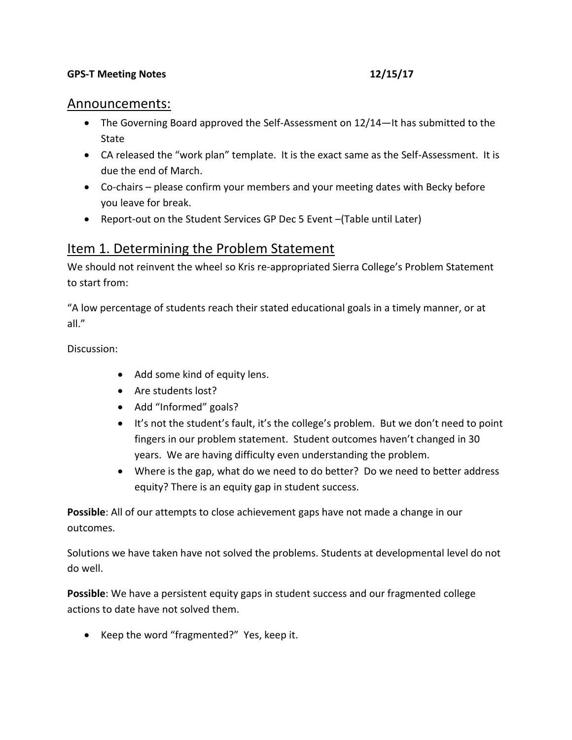### **GPS-T Meeting Notes** 12/15/17

## Announcements:

- The Governing Board approved the Self-Assessment on 12/14—It has submitted to the State
- CA released the "work plan" template. It is the exact same as the Self-Assessment. It is due the end of March.
- Co-chairs please confirm your members and your meeting dates with Becky before you leave for break.
- Report-out on the Student Services GP Dec 5 Event –(Table until Later)

## Item 1. Determining the Problem Statement

We should not reinvent the wheel so Kris re-appropriated Sierra College's Problem Statement to start from:

"A low percentage of students reach their stated educational goals in a timely manner, or at all."

Discussion:

- Add some kind of equity lens.
- Are students lost?
- Add "Informed" goals?
- It's not the student's fault, it's the college's problem. But we don't need to point fingers in our problem statement. Student outcomes haven't changed in 30 years. We are having difficulty even understanding the problem.
- Where is the gap, what do we need to do better? Do we need to better address equity? There is an equity gap in student success.

**Possible**: All of our attempts to close achievement gaps have not made a change in our outcomes.

Solutions we have taken have not solved the problems. Students at developmental level do not do well.

**Possible**: We have a persistent equity gaps in student success and our fragmented college actions to date have not solved them.

● Keep the word "fragmented?" Yes, keep it.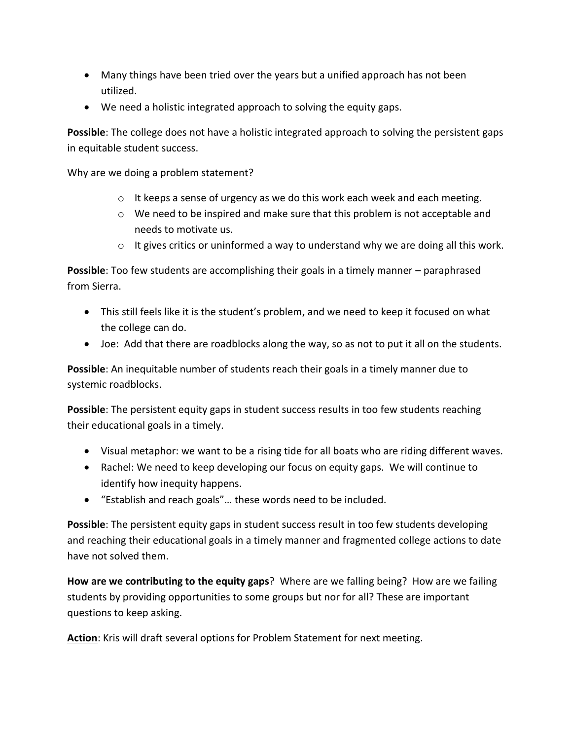- Many things have been tried over the years but a unified approach has not been utilized.
- We need a holistic integrated approach to solving the equity gaps.

**Possible**: The college does not have a holistic integrated approach to solving the persistent gaps in equitable student success.

Why are we doing a problem statement?

- $\circ$  It keeps a sense of urgency as we do this work each week and each meeting.
- o We need to be inspired and make sure that this problem is not acceptable and needs to motivate us.
- $\circ$  It gives critics or uninformed a way to understand why we are doing all this work.

**Possible**: Too few students are accomplishing their goals in a timely manner – paraphrased from Sierra.

- This still feels like it is the student's problem, and we need to keep it focused on what the college can do.
- Joe: Add that there are roadblocks along the way, so as not to put it all on the students.

**Possible**: An inequitable number of students reach their goals in a timely manner due to systemic roadblocks.

**Possible**: The persistent equity gaps in student success results in too few students reaching their educational goals in a timely.

- Visual metaphor: we want to be a rising tide for all boats who are riding different waves.
- Rachel: We need to keep developing our focus on equity gaps. We will continue to identify how inequity happens.
- "Establish and reach goals"… these words need to be included.

**Possible**: The persistent equity gaps in student success result in too few students developing and reaching their educational goals in a timely manner and fragmented college actions to date have not solved them.

**How are we contributing to the equity gaps**? Where are we falling being? How are we failing students by providing opportunities to some groups but nor for all? These are important questions to keep asking.

**Action**: Kris will draft several options for Problem Statement for next meeting.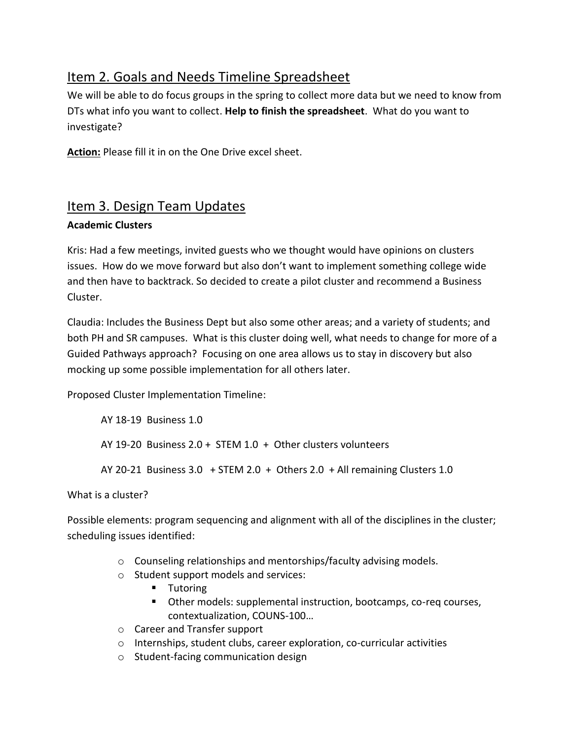# Item 2. Goals and Needs Timeline Spreadsheet

We will be able to do focus groups in the spring to collect more data but we need to know from DTs what info you want to collect. **Help to finish the spreadsheet**. What do you want to investigate?

**Action:** Please fill it in on the One Drive excel sheet.

# Item 3. Design Team Updates

## **Academic Clusters**

Kris: Had a few meetings, invited guests who we thought would have opinions on clusters issues. How do we move forward but also don't want to implement something college wide and then have to backtrack. So decided to create a pilot cluster and recommend a Business Cluster.

Claudia: Includes the Business Dept but also some other areas; and a variety of students; and both PH and SR campuses. What is this cluster doing well, what needs to change for more of a Guided Pathways approach? Focusing on one area allows us to stay in discovery but also mocking up some possible implementation for all others later.

Proposed Cluster Implementation Timeline:

AY 18-19 Business 1.0 AY 19-20 Business 2.0 + STEM 1.0 + Other clusters volunteers AY 20-21 Business 3.0 + STEM 2.0 + Others 2.0 + All remaining Clusters 1.0

What is a cluster?

Possible elements: program sequencing and alignment with all of the disciplines in the cluster; scheduling issues identified:

- o Counseling relationships and mentorships/faculty advising models.
- o Student support models and services:
	- **Tutoring**
	- Other models: supplemental instruction, bootcamps, co-req courses, contextualization, COUNS-100…
- o Career and Transfer support
- o Internships, student clubs, career exploration, co-curricular activities
- o Student-facing communication design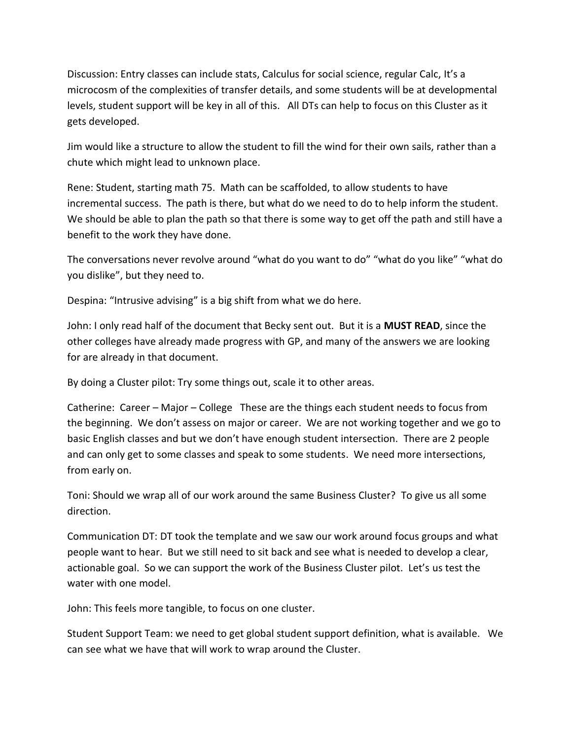Discussion: Entry classes can include stats, Calculus for social science, regular Calc, It's a microcosm of the complexities of transfer details, and some students will be at developmental levels, student support will be key in all of this. All DTs can help to focus on this Cluster as it gets developed.

Jim would like a structure to allow the student to fill the wind for their own sails, rather than a chute which might lead to unknown place.

Rene: Student, starting math 75. Math can be scaffolded, to allow students to have incremental success. The path is there, but what do we need to do to help inform the student. We should be able to plan the path so that there is some way to get off the path and still have a benefit to the work they have done.

The conversations never revolve around "what do you want to do" "what do you like" "what do you dislike", but they need to.

Despina: "Intrusive advising" is a big shift from what we do here.

John: I only read half of the document that Becky sent out. But it is a **MUST READ**, since the other colleges have already made progress with GP, and many of the answers we are looking for are already in that document.

By doing a Cluster pilot: Try some things out, scale it to other areas.

Catherine: Career – Major – College These are the things each student needs to focus from the beginning. We don't assess on major or career. We are not working together and we go to basic English classes and but we don't have enough student intersection. There are 2 people and can only get to some classes and speak to some students. We need more intersections, from early on.

Toni: Should we wrap all of our work around the same Business Cluster? To give us all some direction.

Communication DT: DT took the template and we saw our work around focus groups and what people want to hear. But we still need to sit back and see what is needed to develop a clear, actionable goal. So we can support the work of the Business Cluster pilot. Let's us test the water with one model.

John: This feels more tangible, to focus on one cluster.

Student Support Team: we need to get global student support definition, what is available. We can see what we have that will work to wrap around the Cluster.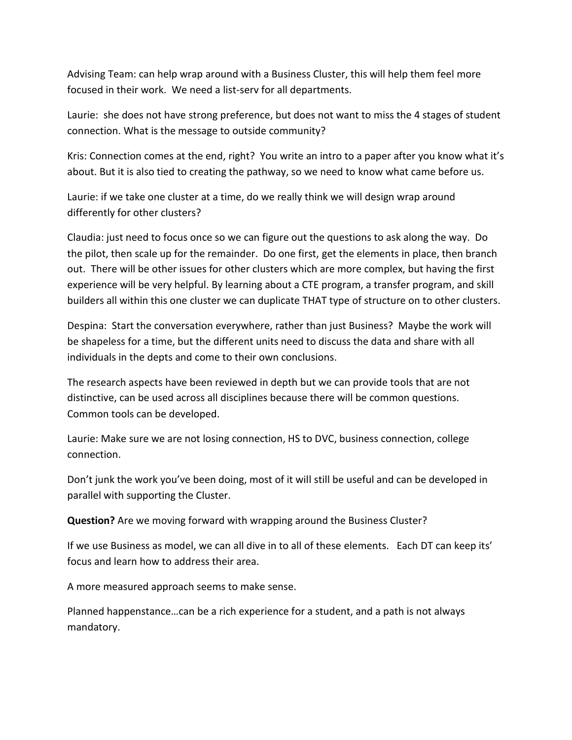Advising Team: can help wrap around with a Business Cluster, this will help them feel more focused in their work. We need a list-serv for all departments.

Laurie: she does not have strong preference, but does not want to miss the 4 stages of student connection. What is the message to outside community?

Kris: Connection comes at the end, right? You write an intro to a paper after you know what it's about. But it is also tied to creating the pathway, so we need to know what came before us.

Laurie: if we take one cluster at a time, do we really think we will design wrap around differently for other clusters?

Claudia: just need to focus once so we can figure out the questions to ask along the way. Do the pilot, then scale up for the remainder. Do one first, get the elements in place, then branch out. There will be other issues for other clusters which are more complex, but having the first experience will be very helpful. By learning about a CTE program, a transfer program, and skill builders all within this one cluster we can duplicate THAT type of structure on to other clusters.

Despina: Start the conversation everywhere, rather than just Business? Maybe the work will be shapeless for a time, but the different units need to discuss the data and share with all individuals in the depts and come to their own conclusions.

The research aspects have been reviewed in depth but we can provide tools that are not distinctive, can be used across all disciplines because there will be common questions. Common tools can be developed.

Laurie: Make sure we are not losing connection, HS to DVC, business connection, college connection.

Don't junk the work you've been doing, most of it will still be useful and can be developed in parallel with supporting the Cluster.

**Question?** Are we moving forward with wrapping around the Business Cluster?

If we use Business as model, we can all dive in to all of these elements. Each DT can keep its' focus and learn how to address their area.

A more measured approach seems to make sense.

Planned happenstance…can be a rich experience for a student, and a path is not always mandatory.